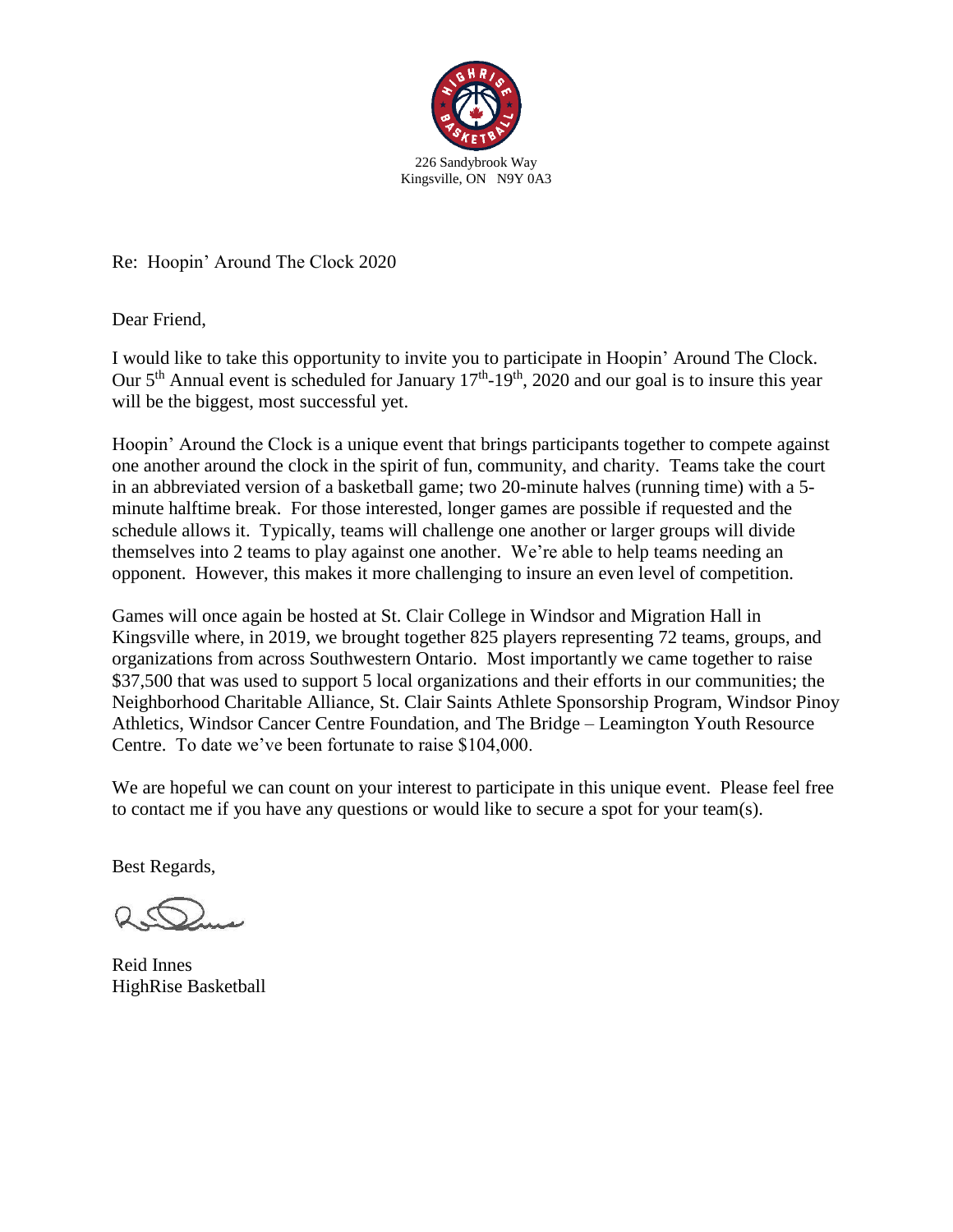

Re: Hoopin' Around The Clock 2020

Dear Friend,

I would like to take this opportunity to invite you to participate in Hoopin' Around The Clock. Our  $5<sup>th</sup>$  Annual event is scheduled for January  $17<sup>th</sup>$ -19<sup>th</sup>, 2020 and our goal is to insure this year will be the biggest, most successful yet.

Hoopin' Around the Clock is a unique event that brings participants together to compete against one another around the clock in the spirit of fun, community, and charity. Teams take the court in an abbreviated version of a basketball game; two 20-minute halves (running time) with a 5 minute halftime break. For those interested, longer games are possible if requested and the schedule allows it. Typically, teams will challenge one another or larger groups will divide themselves into 2 teams to play against one another. We're able to help teams needing an opponent. However, this makes it more challenging to insure an even level of competition.

Games will once again be hosted at St. Clair College in Windsor and Migration Hall in Kingsville where, in 2019, we brought together 825 players representing 72 teams, groups, and organizations from across Southwestern Ontario. Most importantly we came together to raise \$37,500 that was used to support 5 local organizations and their efforts in our communities; the Neighborhood Charitable Alliance, St. Clair Saints Athlete Sponsorship Program, Windsor Pinoy Athletics, Windsor Cancer Centre Foundation, and The Bridge – Leamington Youth Resource Centre. To date we've been fortunate to raise \$104,000.

We are hopeful we can count on your interest to participate in this unique event. Please feel free to contact me if you have any questions or would like to secure a spot for your team(s).

Best Regards,

Reid Innes HighRise Basketball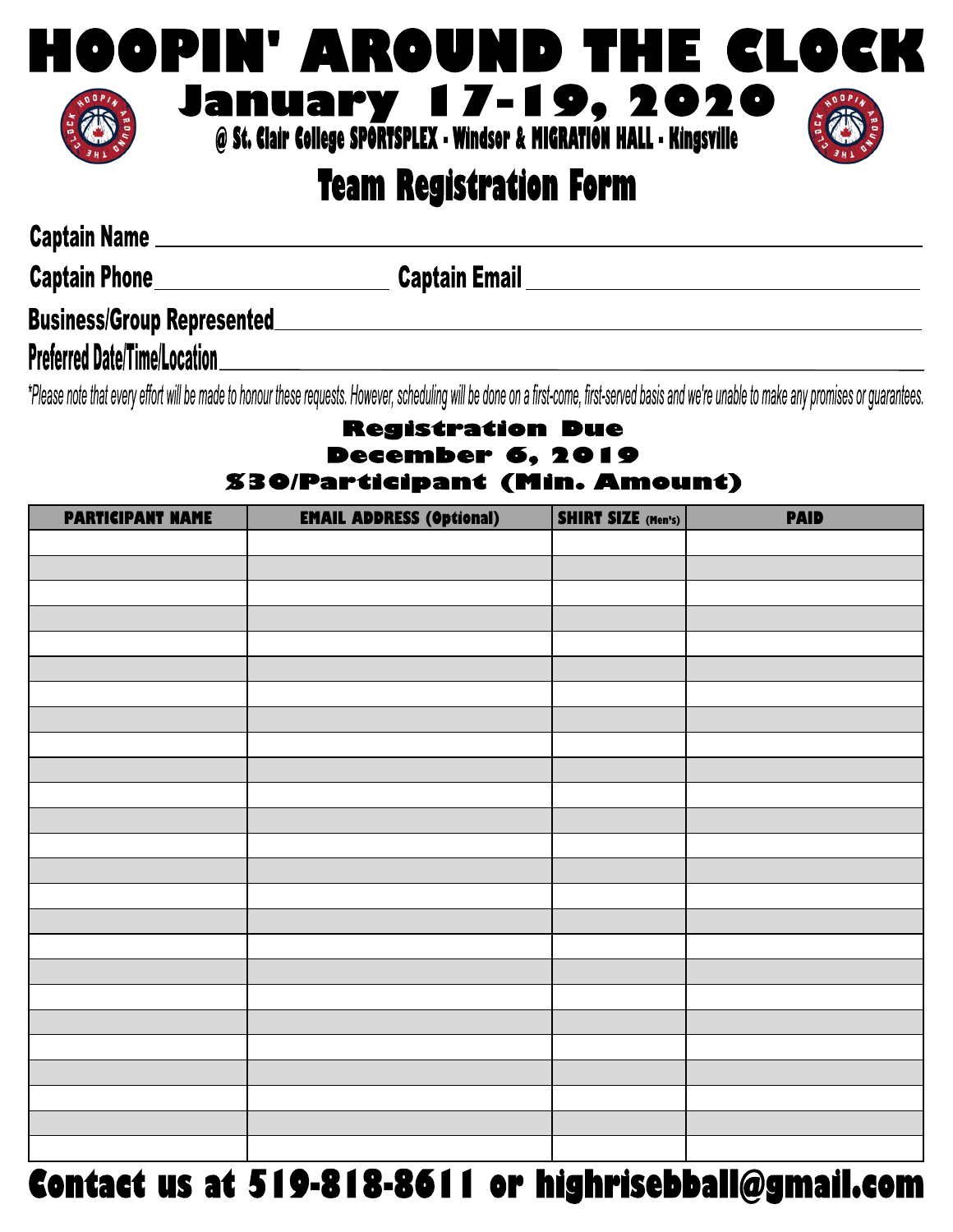

# **Team Registration Form**

Captain Name

Captain Phone **Captain Email** Captain Email **Captain Email** 

# 

**Preferred Date/Time/Location** and the state of the state of the state of the state of the state of the state of the state of the state of the state of the state of the state of the state of the state of the state of the s

\*Please note that every effort will be made to honour these requests. However, scheduling will be done on a first-come, first-served basis and we're unable to make any promises or guarantees.

## **Registration Due December 6, 2019 S30/Participant (Min. Amount)**

| <b>PARTICIPANT NAME</b> | <b>EMAIL ADDRESS (Optional)</b>             | <b>SHIRT SIZE (Men's)</b> | <b>PAID</b> |
|-------------------------|---------------------------------------------|---------------------------|-------------|
|                         |                                             |                           |             |
|                         |                                             |                           |             |
|                         |                                             |                           |             |
|                         |                                             |                           |             |
|                         |                                             |                           |             |
|                         |                                             |                           |             |
|                         |                                             |                           |             |
|                         |                                             |                           |             |
|                         |                                             |                           |             |
|                         |                                             |                           |             |
|                         |                                             |                           |             |
|                         |                                             |                           |             |
|                         |                                             |                           |             |
|                         |                                             |                           |             |
|                         |                                             |                           |             |
|                         |                                             |                           |             |
|                         |                                             |                           |             |
|                         |                                             |                           |             |
|                         |                                             |                           |             |
|                         |                                             |                           |             |
|                         |                                             |                           |             |
|                         |                                             |                           |             |
|                         |                                             |                           |             |
|                         |                                             |                           |             |
|                         | $\overline{1}$ and a decoded $\overline{1}$ |                           |             |

# Contact us at 519-818-8611 or highrisebball@gmail.com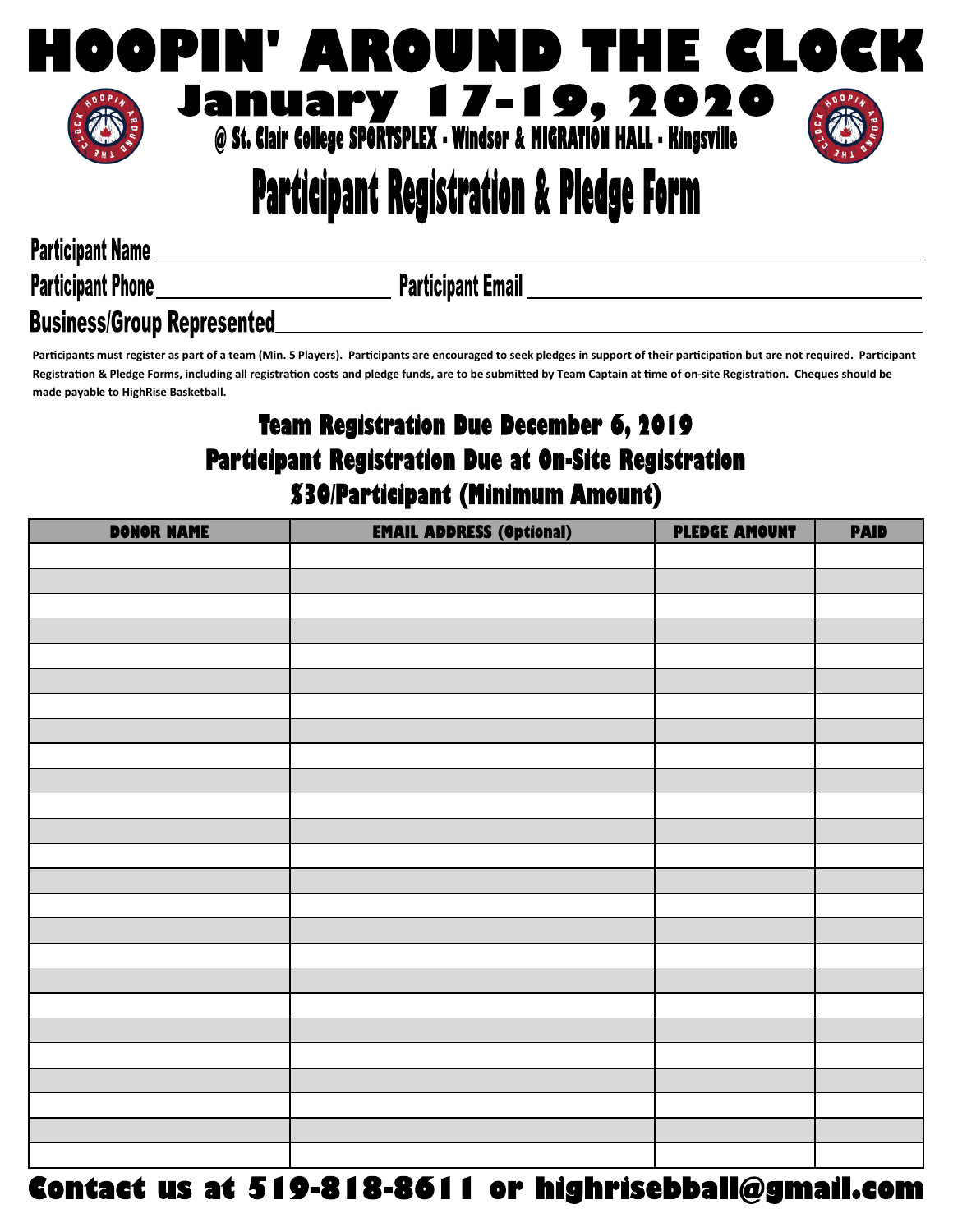

# **Participant Registration & Pledge Form**

**Participant Name** 

**Participant Email** 

## **Participant Phone Business/Group Represented**

Participants must register as part of a team (Min. 5 Players). Participants are encouraged to seek pledges in support of their participation but are not required. Participant Registration & Pledge Forms, including all registration costs and pledge funds, are to be submitted by Team Captain at time of on-site Registration. Cheques should be made payable to HighRise Basketball.

## Team Registration Due December 6, 2019 Participant Registration Due at On-Site Registration **S30/Participant (Minimum Amount)**

| <b>DONOR NAME</b> | <b>EMAIL ADDRESS (Optional)</b>                       | <b>PLEDGE AMOUNT</b> | <b>PAID</b> |
|-------------------|-------------------------------------------------------|----------------------|-------------|
|                   |                                                       |                      |             |
|                   |                                                       |                      |             |
|                   |                                                       |                      |             |
|                   |                                                       |                      |             |
|                   |                                                       |                      |             |
|                   |                                                       |                      |             |
|                   |                                                       |                      |             |
|                   |                                                       |                      |             |
|                   |                                                       |                      |             |
|                   |                                                       |                      |             |
|                   |                                                       |                      |             |
|                   |                                                       |                      |             |
|                   |                                                       |                      |             |
|                   |                                                       |                      |             |
|                   |                                                       |                      |             |
|                   |                                                       |                      |             |
|                   |                                                       |                      |             |
|                   |                                                       |                      |             |
|                   |                                                       |                      |             |
|                   |                                                       |                      |             |
|                   |                                                       |                      |             |
|                   |                                                       |                      |             |
|                   |                                                       |                      |             |
|                   |                                                       |                      |             |
|                   |                                                       |                      |             |
|                   | Contact us at 519-818-8611 or highrisebball@gmail.com |                      |             |